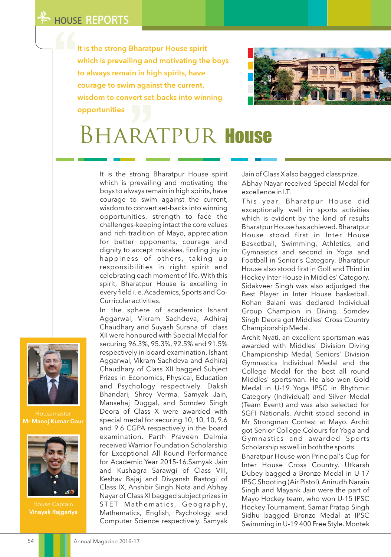It is the strong Bharatpur House spirit which is prevailing and motivating the boys to always remain in high spirits, have courage to swim against the current, wisdom to convert set-backs into winning opportunities



## BharatpurHouse

It is the strong Bharatpur House spirit which is prevailing and motivating the boys to always remain in high spirits, have courage to swim against the current, wisdom to convert set-backs into winning opportunities, strength to face the challenges-keeping intact the core values and rich tradition of Mayo, appreciation for better opponents, courage and dignity to accept mistakes, finding joy in happiness of others, taking up responsibilities in right spirit and celebrating each moment of life. With this spirit, Bharatpur House is excelling in every field i. e. Academics, Sports and Co-Curricular activities.

In the sphere of academics Ishant Aggarwal, Vikram Sachdeva, Adhiraj Chaudhary and Suyash Surana of class XII were honoured with Special Medal for securing 96.3%, 95.3%, 92.5% and 91.5% respectively in board examination. Ishant Aggarwal, Vikram Sachdeva and Adhiraj Chaudhary of Class XII bagged Subject Prizes in Economics, Physical, Education and Psychology respectively. Daksh Bhandari, Shrey Verma, Samyak Jain, Mansehaj Duggal, and Somdev Singh Deora of Class X were awarded with special medal for securing 10, 10, 10, 9.6 and 9.6 CGPA respectively in the board examination. Parth Praveen Dalmia received Warrior Foundation Scholarship for Exceptional All Round Performance for Academic Year 2015-16.Samyak Jain and Kushagra Sarawgi of Class VIII, Keshav Bajaj and Divyansh Rastogi of Class IX, Anshbir Singh Nota and Abhay Nayar of Class XI bagged subject prizes in STET Mathematics, Geography, Mathematics, English, Psychology and Computer Science respectively. Samyak

Jain of Class X also bagged class prize. Abhay Nayar received Special Medal for excellence in I.T.

This year, Bharatpur House did exceptionally well in sports activities which is evident by the kind of results Bharatpur House has achieved. Bharatpur House stood first in Inter House Basketball, Swimming, Athletics, and Gymnastics and second in Yoga and Football in Senior's Category. Bharatpur House also stood first in Golf and Third in Hockey Inter House in Middles' Category. Sidakveer Singh was also adjudged the Best Player in Inter House basketball. Rohan Balani was declared Individual Group Champion in Diving. Somdev Singh Deora got Middles' Cross Country Championship Medal.

Archit Nyati, an excellent sportsman was awarded with Middles' Division Diving Championship Medal, Seniors' Division Gymnastics Individual Medal and the College Medal for the best all round Middles' sportsman. He also won Gold Medal in U-19 Yoga IPSC in Rhythmic Category (Individual) and Silver Medal (Team Event) and was also selected for SGFI Nationals. Archit stood second in Mr Strongman Contest at Mayo. Archit got Senior College Colours for Yoga and Gymnastics and awarded Sports Scholarship as well in both the sports.

Bharatpur House won Principal's Cup for Inter House Cross Country. Utkarsh Dubey bagged a Bronze Medal in U-17 IPSC Shooting (Air Pistol). Anirudh Narain Singh and Mayank Jain were the part of Mayo Hockey team, who won U-15 IPSC Hockey Tournament. Samar Pratap Singh Sidhu bagged Bronze Medal at IPSC Swimming in U-19 400 Free Style. Montek



Housemaster Mr Manoj Kumar Gaur



Vinayak Rajgariya